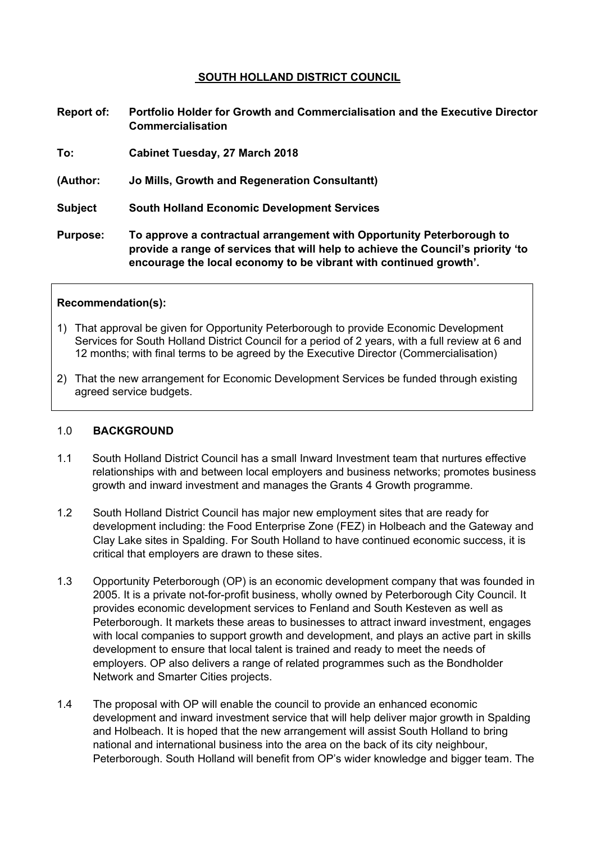## **SOUTH HOLLAND DISTRICT COUNCIL**

- **Report of: Portfolio Holder for Growth and Commercialisation and the Executive Director Commercialisation**
- **To: Cabinet Tuesday, 27 March 2018**
- **(Author: Jo Mills, Growth and Regeneration Consultantt)**
- **Subject South Holland Economic Development Services**
- **Purpose: To approve a contractual arrangement with Opportunity Peterborough to provide a range of services that will help to achieve the Council's priority 'to encourage the local economy to be vibrant with continued growth'.**

#### **Recommendation(s):**

- 1) That approval be given for Opportunity Peterborough to provide Economic Development Services for South Holland District Council for a period of 2 years, with a full review at 6 and 12 months; with final terms to be agreed by the Executive Director (Commercialisation)
- 2) That the new arrangement for Economic Development Services be funded through existing agreed service budgets.

#### 1.0 **BACKGROUND**

- 1.1 South Holland District Council has a small Inward Investment team that nurtures effective relationships with and between local employers and business networks; promotes business growth and inward investment and manages the Grants 4 Growth programme.
- 1.2 South Holland District Council has major new employment sites that are ready for development including: the Food Enterprise Zone (FEZ) in Holbeach and the Gateway and Clay Lake sites in Spalding. For South Holland to have continued economic success, it is critical that employers are drawn to these sites.
- 1.3 Opportunity Peterborough (OP) is an economic development company that was founded in 2005. It is a private not-for-profit business, wholly owned by Peterborough City Council. It provides economic development services to Fenland and South Kesteven as well as Peterborough. It markets these areas to businesses to attract inward investment, engages with local companies to support growth and development, and plays an active part in skills development to ensure that local talent is trained and ready to meet the needs of employers. OP also delivers a range of related programmes such as the Bondholder Network and Smarter Cities projects.
- 1.4 The proposal with OP will enable the council to provide an enhanced economic development and inward investment service that will help deliver major growth in Spalding and Holbeach. It is hoped that the new arrangement will assist South Holland to bring national and international business into the area on the back of its city neighbour, Peterborough. South Holland will benefit from OP's wider knowledge and bigger team. The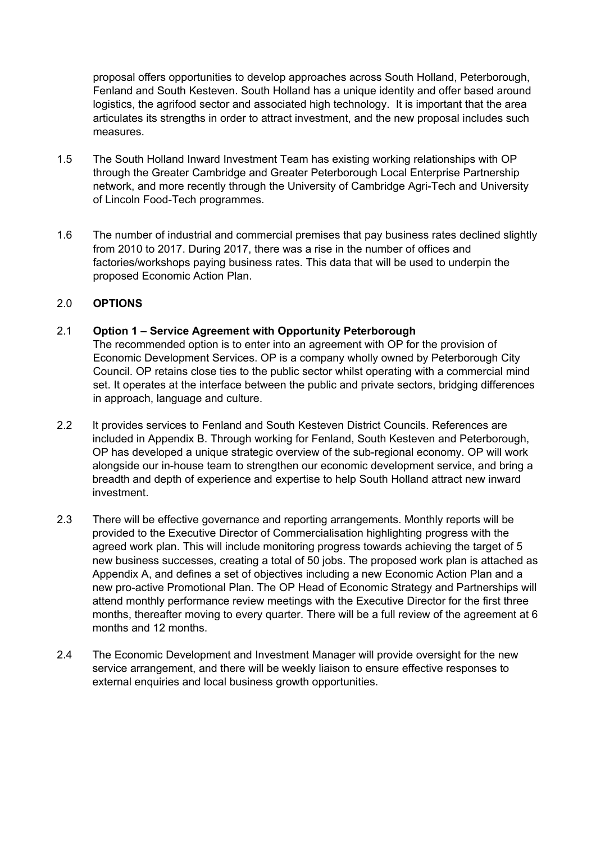proposal offers opportunities to develop approaches across South Holland, Peterborough, Fenland and South Kesteven. South Holland has a unique identity and offer based around logistics, the agrifood sector and associated high technology. It is important that the area articulates its strengths in order to attract investment, and the new proposal includes such measures.

- 1.5 The South Holland Inward Investment Team has existing working relationships with OP through the Greater Cambridge and Greater Peterborough Local Enterprise Partnership network, and more recently through the University of Cambridge Agri-Tech and University of Lincoln Food-Tech programmes.
- 1.6 The number of industrial and commercial premises that pay business rates declined slightly from 2010 to 2017. During 2017, there was a rise in the number of offices and factories/workshops paying business rates. This data that will be used to underpin the proposed Economic Action Plan.

## 2.0 **OPTIONS**

# 2.1 **Option 1 – Service Agreement with Opportunity Peterborough**

The recommended option is to enter into an agreement with OP for the provision of Economic Development Services. OP is a company wholly owned by Peterborough City Council. OP retains close ties to the public sector whilst operating with a commercial mind set. It operates at the interface between the public and private sectors, bridging differences in approach, language and culture.

- 2.2 It provides services to Fenland and South Kesteven District Councils. References are included in Appendix B. Through working for Fenland, South Kesteven and Peterborough, OP has developed a unique strategic overview of the sub-regional economy. OP will work alongside our in-house team to strengthen our economic development service, and bring a breadth and depth of experience and expertise to help South Holland attract new inward investment.
- 2.3 There will be effective governance and reporting arrangements. Monthly reports will be provided to the Executive Director of Commercialisation highlighting progress with the agreed work plan. This will include monitoring progress towards achieving the target of 5 new business successes, creating a total of 50 jobs. The proposed work plan is attached as Appendix A, and defines a set of objectives including a new Economic Action Plan and a new pro-active Promotional Plan. The OP Head of Economic Strategy and Partnerships will attend monthly performance review meetings with the Executive Director for the first three months, thereafter moving to every quarter. There will be a full review of the agreement at 6 months and 12 months.
- 2.4 The Economic Development and Investment Manager will provide oversight for the new service arrangement, and there will be weekly liaison to ensure effective responses to external enquiries and local business growth opportunities.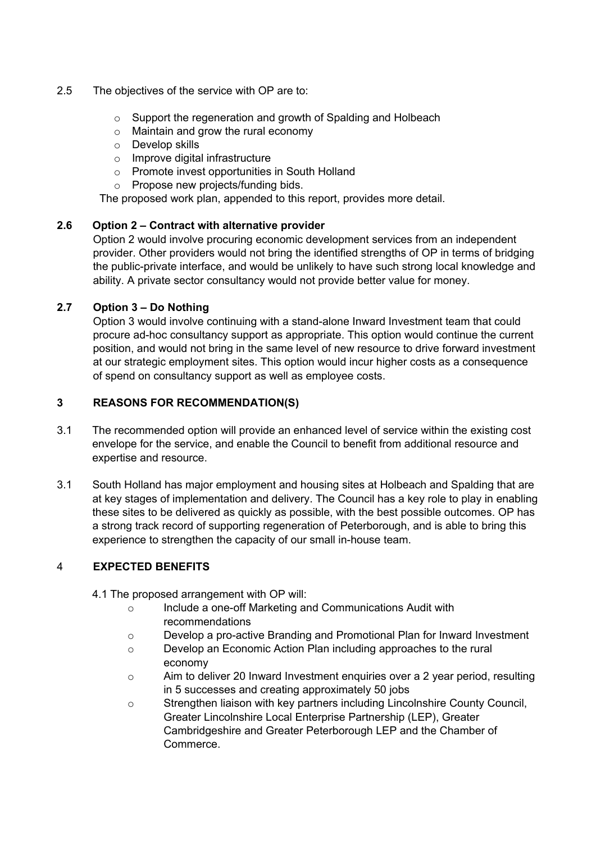## 2.5 The objectives of the service with OP are to:

- o Support the regeneration and growth of Spalding and Holbeach
- o Maintain and grow the rural economy
- o Develop skills
- o Improve digital infrastructure
- o Promote invest opportunities in South Holland
- o Propose new projects/funding bids.

The proposed work plan, appended to this report, provides more detail.

# **2.6 Option 2 – Contract with alternative provider**

Option 2 would involve procuring economic development services from an independent provider. Other providers would not bring the identified strengths of OP in terms of bridging the public-private interface, and would be unlikely to have such strong local knowledge and ability. A private sector consultancy would not provide better value for money.

# **2.7 Option 3 – Do Nothing**

Option 3 would involve continuing with a stand-alone Inward Investment team that could procure ad-hoc consultancy support as appropriate. This option would continue the current position, and would not bring in the same level of new resource to drive forward investment at our strategic employment sites. This option would incur higher costs as a consequence of spend on consultancy support as well as employee costs.

# **3 REASONS FOR RECOMMENDATION(S)**

- 3.1 The recommended option will provide an enhanced level of service within the existing cost envelope for the service, and enable the Council to benefit from additional resource and expertise and resource.
- 3.1 South Holland has major employment and housing sites at Holbeach and Spalding that are at key stages of implementation and delivery. The Council has a key role to play in enabling these sites to be delivered as quickly as possible, with the best possible outcomes. OP has a strong track record of supporting regeneration of Peterborough, and is able to bring this experience to strengthen the capacity of our small in-house team.

# 4 **EXPECTED BENEFITS**

- 4.1 The proposed arrangement with OP will:
	- o Include a one-off Marketing and Communications Audit with recommendations
	- o Develop a pro-active Branding and Promotional Plan for Inward Investment
	- o Develop an Economic Action Plan including approaches to the rural economy
	- $\circ$  Aim to deliver 20 Inward Investment enquiries over a 2 year period, resulting in 5 successes and creating approximately 50 jobs
	- o Strengthen liaison with key partners including Lincolnshire County Council, Greater Lincolnshire Local Enterprise Partnership (LEP), Greater Cambridgeshire and Greater Peterborough LEP and the Chamber of Commerce.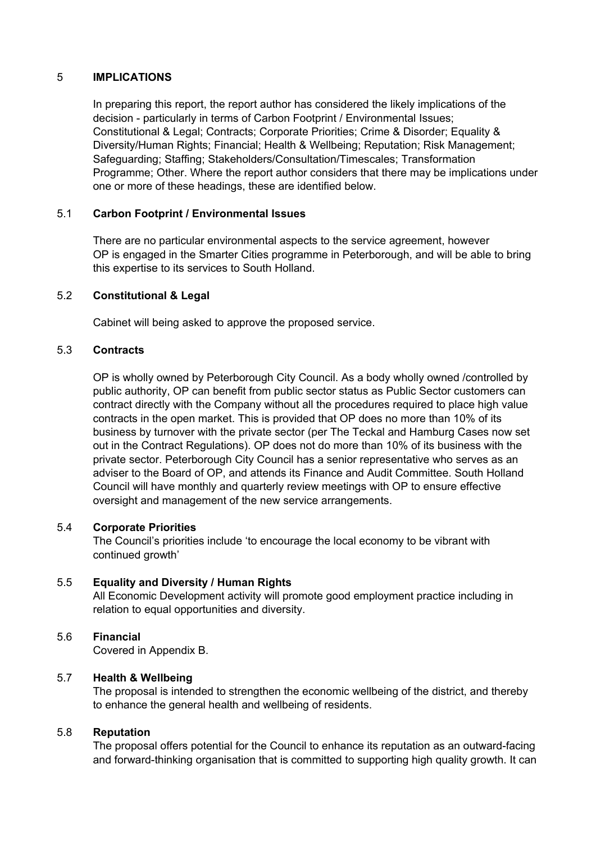## 5 **IMPLICATIONS**

In preparing this report, the report author has considered the likely implications of the decision - particularly in terms of Carbon Footprint / Environmental Issues; Constitutional & Legal; Contracts; Corporate Priorities; Crime & Disorder; Equality & Diversity/Human Rights; Financial; Health & Wellbeing; Reputation; Risk Management; Safeguarding; Staffing; Stakeholders/Consultation/Timescales; Transformation Programme; Other. Where the report author considers that there may be implications under one or more of these headings, these are identified below.

## 5.1 **Carbon Footprint / Environmental Issues**

There are no particular environmental aspects to the service agreement, however OP is engaged in the Smarter Cities programme in Peterborough, and will be able to bring this expertise to its services to South Holland.

#### 5.2 **Constitutional & Legal**

Cabinet will being asked to approve the proposed service.

## 5.3 **Contracts**

OP is wholly owned by Peterborough City Council. As a body wholly owned /controlled by public authority, OP can benefit from public sector status as Public Sector customers can contract directly with the Company without all the procedures required to place high value contracts in the open market. This is provided that OP does no more than 10% of its business by turnover with the private sector (per The Teckal and Hamburg Cases now set out in the Contract Regulations). OP does not do more than 10% of its business with the private sector. Peterborough City Council has a senior representative who serves as an adviser to the Board of OP, and attends its Finance and Audit Committee. South Holland Council will have monthly and quarterly review meetings with OP to ensure effective oversight and management of the new service arrangements.

#### 5.4 **Corporate Priorities**

The Council's priorities include 'to encourage the local economy to be vibrant with  $c$  **continued growth** 

#### 5.5 **Equality and Diversity / Human Rights**

All Economic Development activity will promote good employment practice including in relation to equal opportunities and diversity.

#### 5.6 **Financial**

Covered in Appendix B.

## 5.7 **Health & Wellbeing**

The proposal is intended to strengthen the economic wellbeing of the district, and thereby to enhance the general health and wellbeing of residents.

#### 5.8 **Reputation**

The proposal offers potential for the Council to enhance its reputation as an outward-facing and forward-thinking organisation that is committed to supporting high quality growth. It can